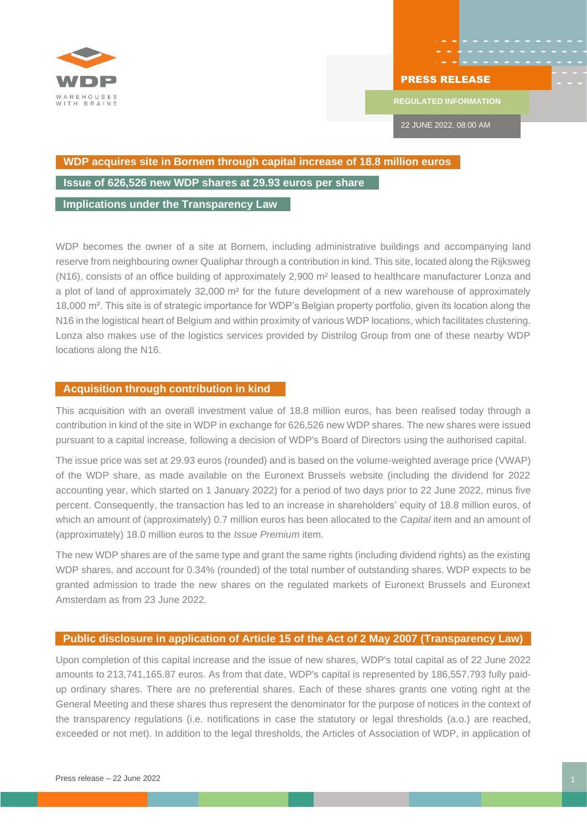

## PRESS RELEASE

**REGULATED INFORMATION**

22 JUNE 2022, 08:00 AM

## **WDP acquires site in Bornem through capital increase of 18.8 million euros**

**Issue of 626,526 new WDP shares at 29.93 euros per share** 

**(rounded) Implications under the Transparency Law**

WDP becomes the owner of a site at Bornem, including administrative buildings and accompanying land reserve from neighbouring owner Qualiphar through a contribution in kind. This site, located along the Rijksweg (N16), consists of an office building of approximately 2,900 m² leased to healthcare manufacturer Lonza and a plot of land of approximately 32,000 m² for the future development of a new warehouse of approximately 18,000 m². This site is of strategic importance for WDP's Belgian property portfolio, given its location along the N16 in the logistical heart of Belgium and within proximity of various WDP locations, which facilitates clustering. Lonza also makes use of the logistics services provided by Distrilog Group from one of these nearby WDP locations along the N16.

## **Acquisition through contribution in kind**

This acquisition with an overall investment value of 18.8 million euros, has been realised today through a contribution in kind of the site in WDP in exchange for 626,526 new WDP shares. The new shares were issued pursuant to a capital increase, following a decision of WDP's Board of Directors using the authorised capital.

The issue price was set at 29.93 euros (rounded) and is based on the volume-weighted average price (VWAP) of the WDP share, as made available on the Euronext Brussels website (including the dividend for 2022 accounting year, which started on 1 January 2022) for a period of two days prior to 22 June 2022, minus five percent. Consequently, the transaction has led to an increase in shareholders' equity of 18.8 million euros, of which an amount of (approximately) 0.7 million euros has been allocated to the *Capital* item and an amount of (approximately) 18.0 million euros to the *Issue Premium* item.

The new WDP shares are of the same type and grant the same rights (including dividend rights) as the existing WDP shares, and account for 0.34% (rounded) of the total number of outstanding shares. WDP expects to be granted admission to trade the new shares on the regulated markets of Euronext Brussels and Euronext Amsterdam as from 23 June 2022.

## **Public disclosure in application of Article 15 of the Act of 2 May 2007 (Transparency Law)**

Upon completion of this capital increase and the issue of new shares, WDP's total capital as of 22 June 2022 amounts to 213,741,165.87 euros. As from that date, WDP's capital is represented by 186,557,793 fully paidup ordinary shares. There are no preferential shares. Each of these shares grants one voting right at the General Meeting and these shares thus represent the denominator for the purpose of notices in the context of the transparency regulations (i.e. notifications in case the statutory or legal thresholds (a.o.) are reached, exceeded or not met). In addition to the legal thresholds, the Articles of Association of WDP, in application of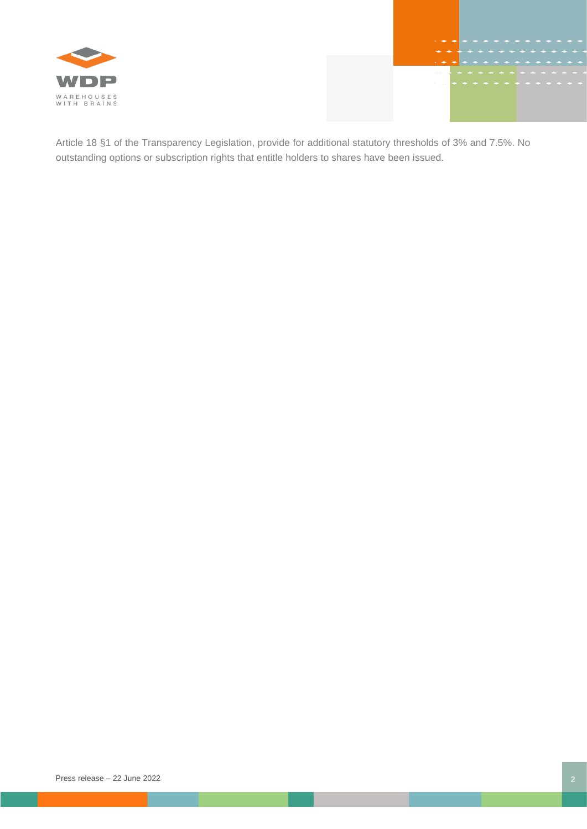



Article 18 §1 of the Transparency Legislation, provide for additional statutory thresholds of 3% and 7.5%. No outstanding options or subscription rights that entitle holders to shares have been issued.